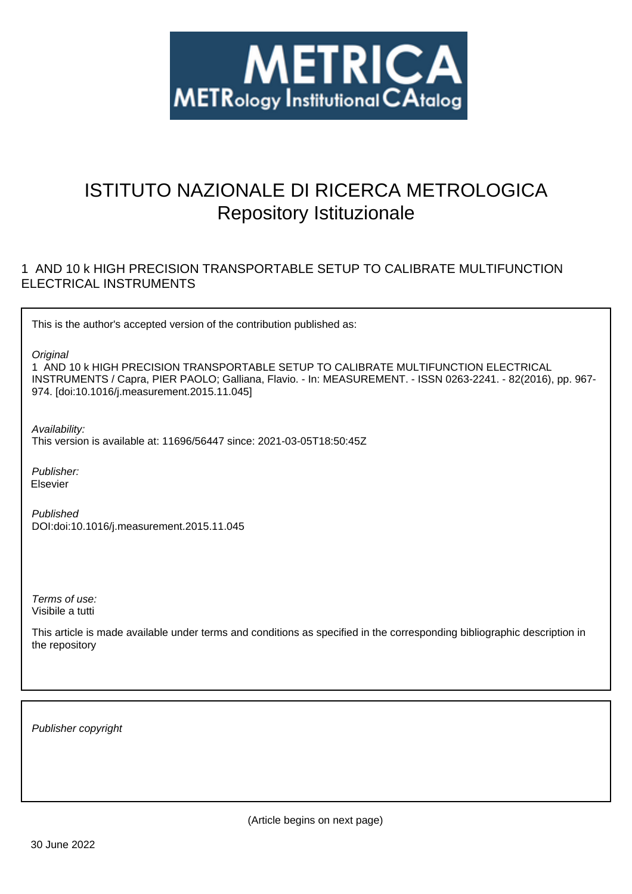

# ISTITUTO NAZIONALE DI RICERCA METROLOGICA Repository Istituzionale

## 1 AND 10 k HIGH PRECISION TRANSPORTABLE SETUP TO CALIBRATE MULTIFUNCTION ELECTRICAL INSTRUMENTS

This is the author's accepted version of the contribution published as:

**Original** 

1 AND 10 k HIGH PRECISION TRANSPORTABLE SETUP TO CALIBRATE MULTIFUNCTION ELECTRICAL INSTRUMENTS / Capra, PIER PAOLO; Galliana, Flavio. - In: MEASUREMENT. - ISSN 0263-2241. - 82(2016), pp. 967- 974. [doi:10.1016/j.measurement.2015.11.045]

Availability:

This version is available at: 11696/56447 since: 2021-03-05T18:50:45Z

Publisher: Elsevier

Published DOI:doi:10.1016/j.measurement.2015.11.045

Terms of use: Visibile a tutti

This article is made available under terms and conditions as specified in the corresponding bibliographic description in the repository

Publisher copyright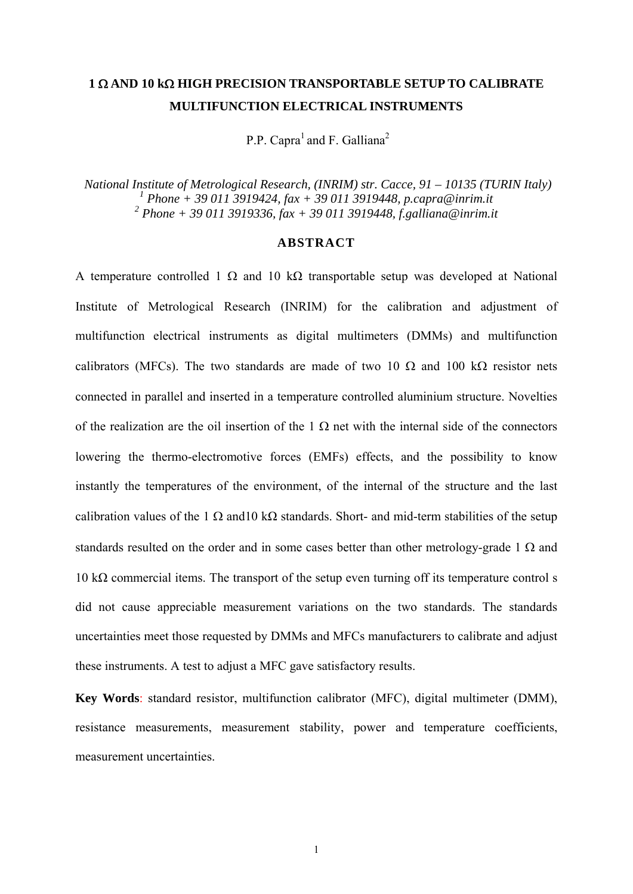## **1 AND 10 k HIGH PRECISION TRANSPORTABLE SETUP TO CALIBRATE MULTIFUNCTION ELECTRICAL INSTRUMENTS**

P.P. Capra<sup>1</sup> and F. Galliana<sup>2</sup>

 *National Institute of Metrological Research, (INRIM) str. Cacce, 91 – 10135 (TURIN Italy) 1 Phone + 39 011 3919424, fax + 39 011 3919448, p.capra@inrim.it 2 Phone + 39 011 3919336, fax + 39 011 3919448, f.galliana@inrim.it* 

## **ABSTRACT**

A temperature controlled 1  $\Omega$  and 10 k $\Omega$  transportable setup was developed at National Institute of Metrological Research (INRIM) for the calibration and adjustment of multifunction electrical instruments as digital multimeters (DMMs) and multifunction calibrators (MFCs). The two standards are made of two 10  $\Omega$  and 100 k $\Omega$  resistor nets connected in parallel and inserted in a temperature controlled aluminium structure. Novelties of the realization are the oil insertion of the  $1 \Omega$  net with the internal side of the connectors lowering the thermo-electromotive forces (EMFs) effects, and the possibility to know instantly the temperatures of the environment, of the internal of the structure and the last calibration values of the 1  $\Omega$  and 10 k $\Omega$  standards. Short- and mid-term stabilities of the setup standards resulted on the order and in some cases better than other metrology-grade 1  $\Omega$  and 10 kΩ commercial items. The transport of the setup even turning off its temperature control s did not cause appreciable measurement variations on the two standards. The standards uncertainties meet those requested by DMMs and MFCs manufacturers to calibrate and adjust these instruments. A test to adjust a MFC gave satisfactory results.

**Key Words**: standard resistor, multifunction calibrator (MFC), digital multimeter (DMM), resistance measurements, measurement stability, power and temperature coefficients, measurement uncertainties.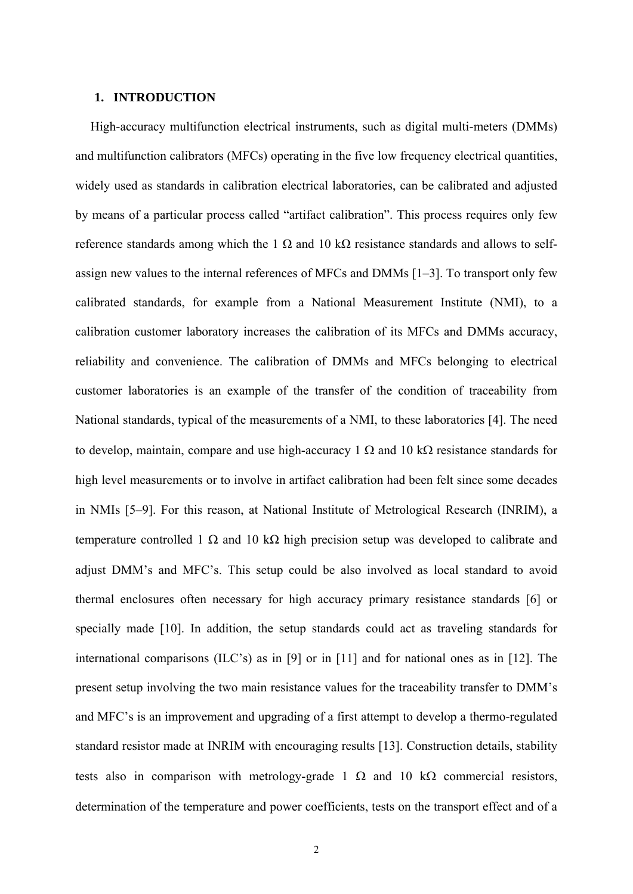#### **1. INTRODUCTION**

High-accuracy multifunction electrical instruments, such as digital multi-meters (DMMs) and multifunction calibrators (MFCs) operating in the five low frequency electrical quantities, widely used as standards in calibration electrical laboratories, can be calibrated and adjusted by means of a particular process called "artifact calibration". This process requires only few reference standards among which the 1 Ω and 10 kΩ resistance standards and allows to selfassign new values to the internal references of MFCs and DMMs [1–3]. To transport only few calibrated standards, for example from a National Measurement Institute (NMI), to a calibration customer laboratory increases the calibration of its MFCs and DMMs accuracy, reliability and convenience. The calibration of DMMs and MFCs belonging to electrical customer laboratories is an example of the transfer of the condition of traceability from National standards, typical of the measurements of a NMI, to these laboratories [4]. The need to develop, maintain, compare and use high-accuracy 1  $\Omega$  and 10 k $\Omega$  resistance standards for high level measurements or to involve in artifact calibration had been felt since some decades in NMIs [5–9]. For this reason, at National Institute of Metrological Research (INRIM), a temperature controlled 1  $\Omega$  and 10 k $\Omega$  high precision setup was developed to calibrate and adjust DMM's and MFC's. This setup could be also involved as local standard to avoid thermal enclosures often necessary for high accuracy primary resistance standards [6] or specially made [10]. In addition, the setup standards could act as traveling standards for international comparisons (ILC's) as in [9] or in [11] and for national ones as in [12]. The present setup involving the two main resistance values for the traceability transfer to DMM's and MFC's is an improvement and upgrading of a first attempt to develop a thermo-regulated standard resistor made at INRIM with encouraging results [13]. Construction details, stability tests also in comparison with metrology-grade 1  $\Omega$  and 10 k $\Omega$  commercial resistors, determination of the temperature and power coefficients, tests on the transport effect and of a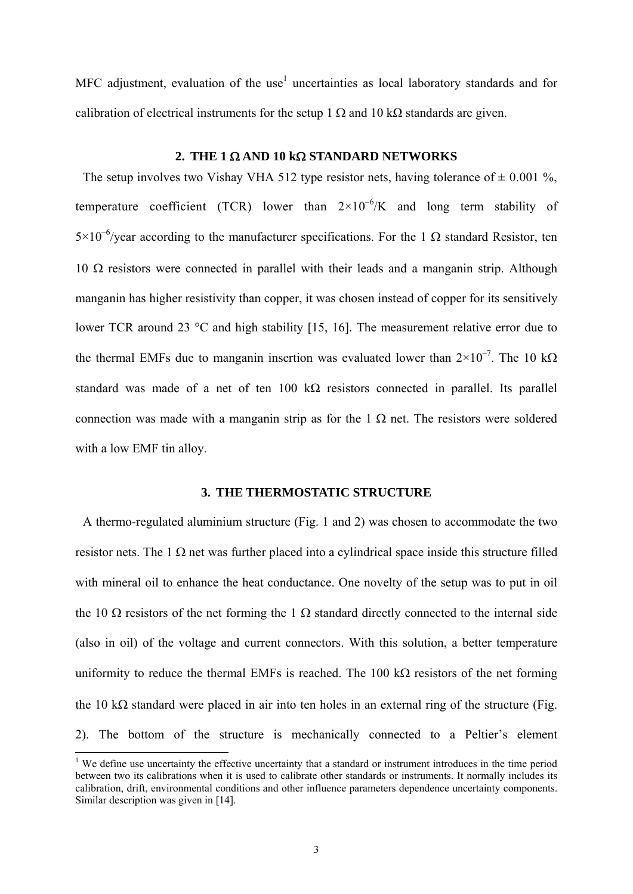MFC adjustment, evaluation of the use<sup>1</sup> uncertainties as local laboratory standards and for calibration of electrical instruments for the setup 1  $\Omega$  and 10 k $\Omega$  standards are given.

#### **2. THE 1**  $\Omega$  **AND 10 k** $\Omega$  **STANDARD NETWORKS**

The setup involves two Vishay VHA 512 type resistor nets, having tolerance of  $\pm$  0.001 %, temperature coefficient (TCR) lower than  $2\times10^{-6}$ /K and long term stability of  $5\times10^{-6}$ /year according to the manufacturer specifications. For the 1  $\Omega$  standard Resistor, ten  $10 \Omega$  resistors were connected in parallel with their leads and a manganin strip. Although manganin has higher resistivity than copper, it was chosen instead of copper for its sensitively lower TCR around 23 °C and high stability [15, 16]. The measurement relative error due to the thermal EMFs due to manganin insertion was evaluated lower than  $2 \times 10^{-7}$ . The 10 k $\Omega$ standard was made of a net of ten 100 k $\Omega$  resistors connected in parallel. Its parallel connection was made with a manganin strip as for the  $1 \Omega$  net. The resistors were soldered with a low EMF tin alloy.

### **3. THE THERMOSTATIC STRUCTURE**

A thermo-regulated aluminium structure (Fig. 1 and 2) was chosen to accommodate the two resistor nets. The 1  $\Omega$  net was further placed into a cylindrical space inside this structure filled with mineral oil to enhance the heat conductance. One novelty of the setup was to put in oil the 10  $\Omega$  resistors of the net forming the 1  $\Omega$  standard directly connected to the internal side (also in oil) of the voltage and current connectors. With this solution, a better temperature uniformity to reduce the thermal EMFs is reached. The 100 k $\Omega$  resistors of the net forming the 10 k $\Omega$  standard were placed in air into ten holes in an external ring of the structure (Fig. 2). The bottom of the structure is mechanically connected to a Peltier's element

-

<sup>&</sup>lt;sup>1</sup> We define use uncertainty the effective uncertainty that a standard or instrument introduces in the time period between two its calibrations when it is used to calibrate other standards or instruments. It normally includes its calibration, drift, environmental conditions and other influence parameters dependence uncertainty components. Similar description was given in [14].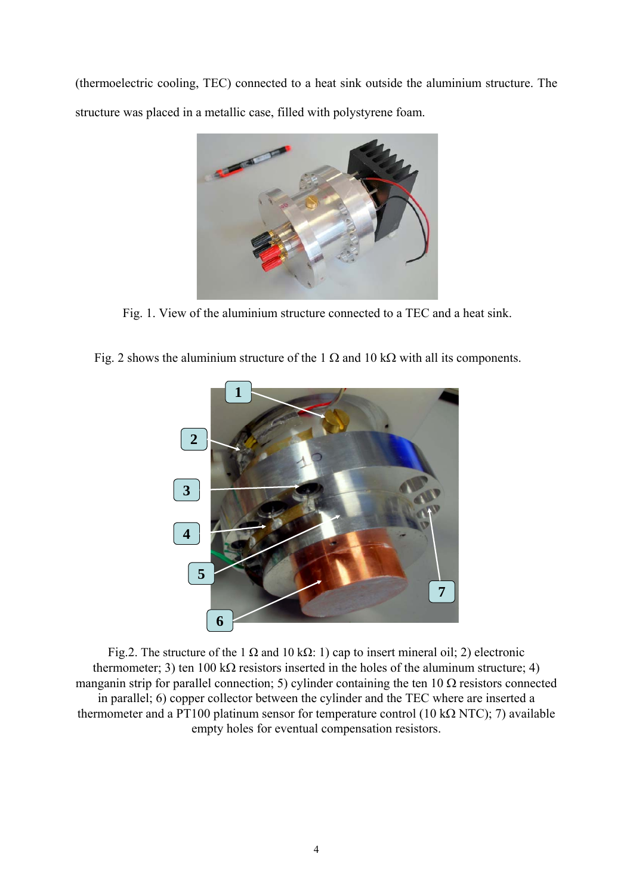(thermoelectric cooling, TEC) connected to a heat sink outside the aluminium structure. The structure was placed in a metallic case, filled with polystyrene foam.



Fig. 1. View of the aluminium structure connected to a TEC and a heat sink.

Fig. 2 shows the aluminium structure of the 1  $\Omega$  and 10 k $\Omega$  with all its components.



Fig.2. The structure of the 1  $\Omega$  and 10 k $\Omega$ : 1) cap to insert mineral oil; 2) electronic thermometer; 3) ten 100 k $\Omega$  resistors inserted in the holes of the aluminum structure; 4) manganin strip for parallel connection; 5) cylinder containing the ten 10  $\Omega$  resistors connected in parallel; 6) copper collector between the cylinder and the TEC where are inserted a thermometer and a PT100 platinum sensor for temperature control (10 k $\Omega$  NTC); 7) available empty holes for eventual compensation resistors.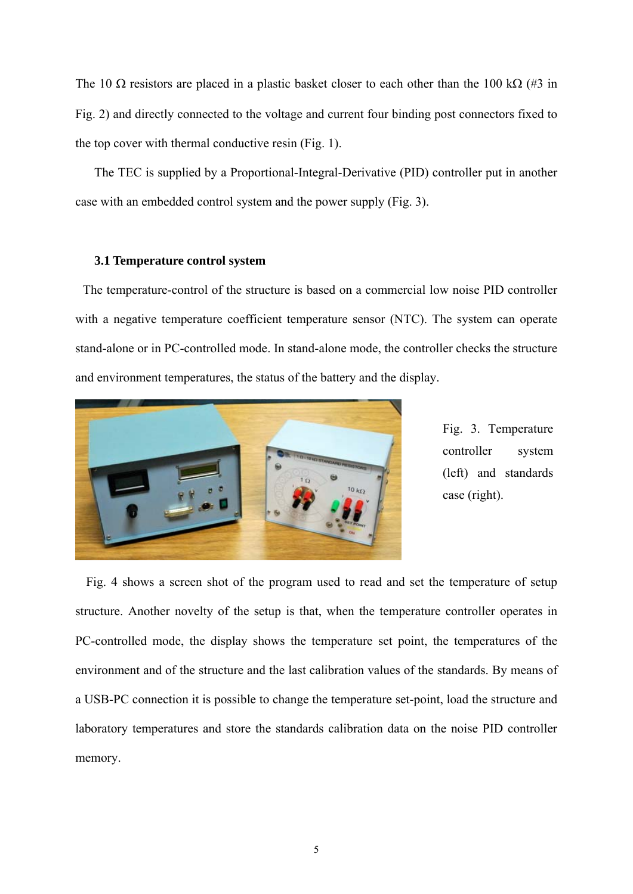The 10  $\Omega$  resistors are placed in a plastic basket closer to each other than the 100 k $\Omega$  (#3 in Fig. 2) and directly connected to the voltage and current four binding post connectors fixed to the top cover with thermal conductive resin (Fig. 1).

The TEC is supplied by a Proportional-Integral-Derivative (PID) controller put in another case with an embedded control system and the power supply (Fig. 3).

## **3.1 Temperature control system**

The temperature-control of the structure is based on a commercial low noise PID controller with a negative temperature coefficient temperature sensor (NTC). The system can operate stand-alone or in PC-controlled mode. In stand-alone mode, the controller checks the structure and environment temperatures, the status of the battery and the display.



Fig. 3. Temperature controller system (left) and standards case (right).

 Fig. 4 shows a screen shot of the program used to read and set the temperature of setup structure. Another novelty of the setup is that, when the temperature controller operates in PC-controlled mode, the display shows the temperature set point, the temperatures of the environment and of the structure and the last calibration values of the standards. By means of a USB-PC connection it is possible to change the temperature set-point, load the structure and laboratory temperatures and store the standards calibration data on the noise PID controller memory.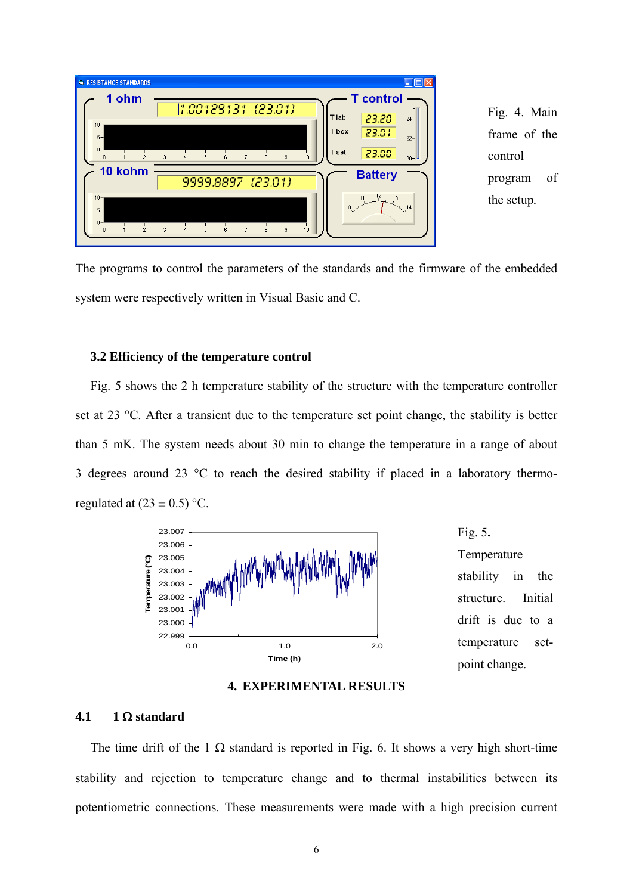

The programs to control the parameters of the standards and the firmware of the embedded system were respectively written in Visual Basic and C.

## **3.2 Efficiency of the temperature control**

Fig. 5 shows the 2 h temperature stability of the structure with the temperature controller set at 23 °C. After a transient due to the temperature set point change, the stability is better than 5 mK. The system needs about 30 min to change the temperature in a range of about 3 degrees around 23 °C to reach the desired stability if placed in a laboratory thermoregulated at  $(23 \pm 0.5)$  °C.



Fig. 5**.**  Temperature stability in the structure. Initial drift is due to a temperature setpoint change.

#### **4. EXPERIMENTAL RESULTS**

## **4.1 1**  $\Omega$  **standard**

The time drift of the 1  $\Omega$  standard is reported in Fig. 6. It shows a very high short-time stability and rejection to temperature change and to thermal instabilities between its potentiometric connections. These measurements were made with a high precision current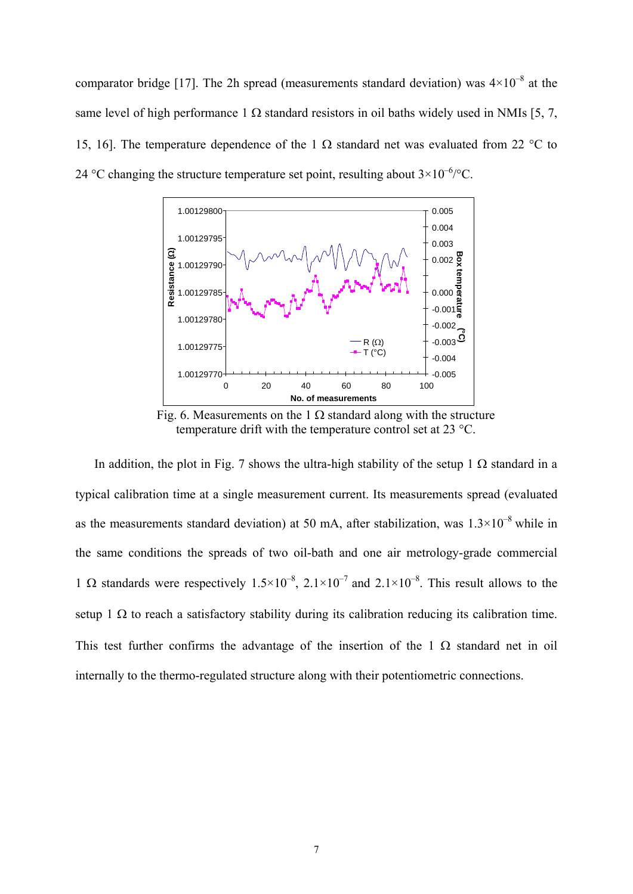comparator bridge [17]. The 2h spread (measurements standard deviation) was  $4\times10^{-8}$  at the same level of high performance 1  $\Omega$  standard resistors in oil baths widely used in NMIs [5, 7, 15, 16]. The temperature dependence of the 1  $\Omega$  standard net was evaluated from 22 °C to 24 °C changing the structure temperature set point, resulting about  $3 \times 10^{-6}$  °C.



Fig. 6. Measurements on the 1  $\Omega$  standard along with the structure temperature drift with the temperature control set at 23 °C.

In addition, the plot in Fig. 7 shows the ultra-high stability of the setup 1  $\Omega$  standard in a typical calibration time at a single measurement current. Its measurements spread (evaluated as the measurements standard deviation) at 50 mA, after stabilization, was  $1.3 \times 10^{-8}$  while in the same conditions the spreads of two oil-bath and one air metrology-grade commercial 1  $\Omega$  standards were respectively 1.5×10<sup>-8</sup>, 2.1×10<sup>-7</sup> and 2.1×10<sup>-8</sup>. This result allows to the setup 1  $\Omega$  to reach a satisfactory stability during its calibration reducing its calibration time. This test further confirms the advantage of the insertion of the 1  $\Omega$  standard net in oil internally to the thermo-regulated structure along with their potentiometric connections.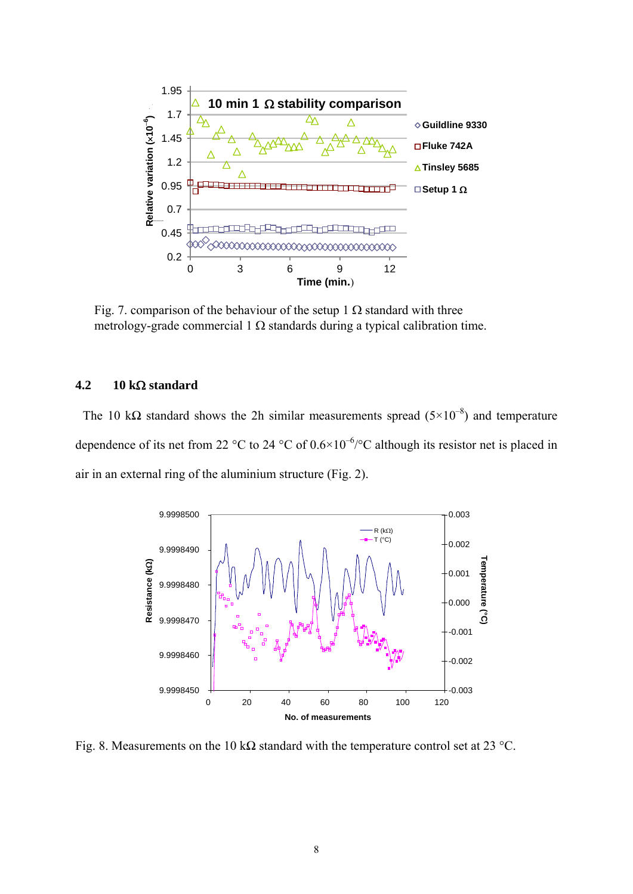

Fig. 7. comparison of the behaviour of the setup 1  $\Omega$  standard with three metrology-grade commercial 1  $\Omega$  standards during a typical calibration time.

## $4.2$  10 k $\Omega$  standard

The 10 k $\Omega$  standard shows the 2h similar measurements spread (5×10<sup>-8</sup>) and temperature dependence of its net from 22 °C to 24 °C of  $0.6 \times 10^{-6}$  /°C although its resistor net is placed in air in an external ring of the aluminium structure (Fig. 2).



Fig. 8. Measurements on the 10 k $\Omega$  standard with the temperature control set at 23 °C.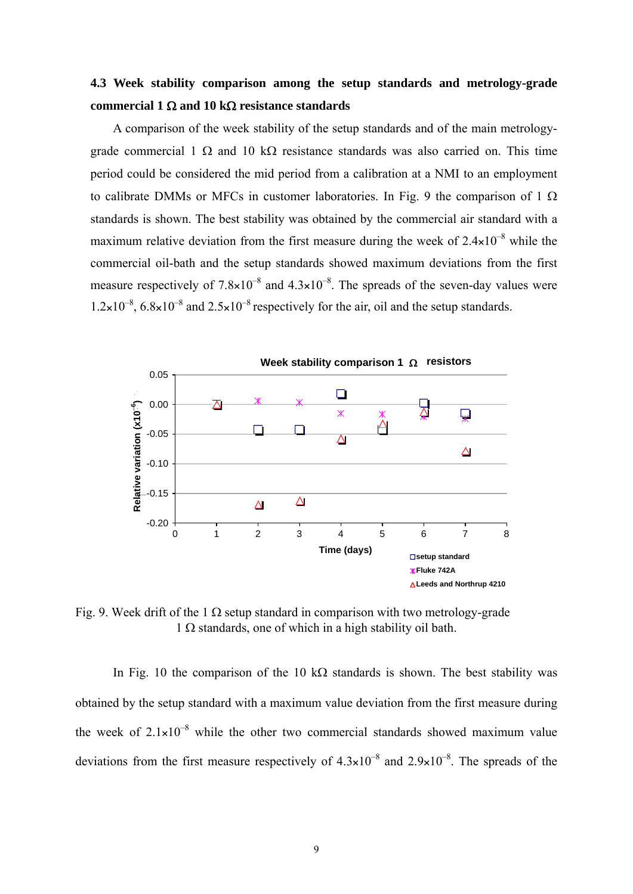## **4.3 Week stability comparison among the setup standards and metrology-grade**  commercial 1  $\Omega$  and 10 k $\Omega$  resistance standards

A comparison of the week stability of the setup standards and of the main metrologygrade commercial 1  $\Omega$  and 10 k $\Omega$  resistance standards was also carried on. This time period could be considered the mid period from a calibration at a NMI to an employment to calibrate DMMs or MFCs in customer laboratories. In Fig. 9 the comparison of 1  $\Omega$ standards is shown. The best stability was obtained by the commercial air standard with a maximum relative deviation from the first measure during the week of  $2.4\times10^{-8}$  while the commercial oil-bath and the setup standards showed maximum deviations from the first measure respectively of  $7.8\times10^{-8}$  and  $4.3\times10^{-8}$ . The spreads of the seven-day values were  $1.2\times10^{-8}$ ,  $6.8\times10^{-8}$  and  $2.5\times10^{-8}$  respectively for the air, oil and the setup standards.



Fig. 9. Week drift of the 1  $\Omega$  setup standard in comparison with two metrology-grade  $1 \Omega$  standards, one of which in a high stability oil bath.

In Fig. 10 the comparison of the 10 k $\Omega$  standards is shown. The best stability was obtained by the setup standard with a maximum value deviation from the first measure during the week of  $2.1\times10^{-8}$  while the other two commercial standards showed maximum value deviations from the first measure respectively of  $4.3\times10^{-8}$  and  $2.9\times10^{-8}$ . The spreads of the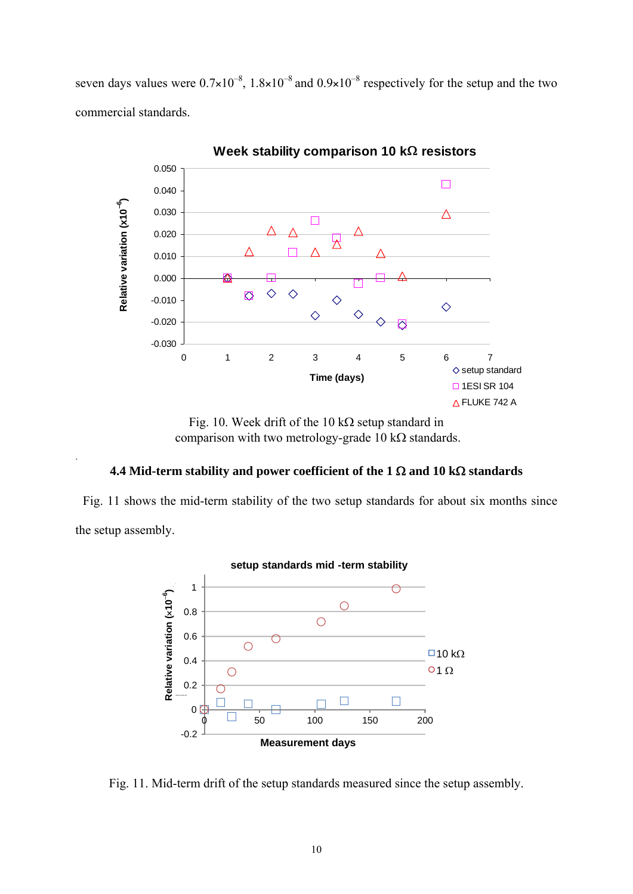seven days values were  $0.7\times10^{-8}$ ,  $1.8\times10^{-8}$  and  $0.9\times10^{-8}$  respectively for the setup and the two commercial standards.



Fig. 10. Week drift of the 10 k $\Omega$  setup standard in comparison with two metrology-grade 10 k $\Omega$  standards.

## **4.4 Mid-term stability and power coefficient of the 1**  $\Omega$  **and 10 k** $\Omega$  **standards**

.

Fig. 11 shows the mid-term stability of the two setup standards for about six months since the setup assembly.



Fig. 11. Mid-term drift of the setup standards measured since the setup assembly.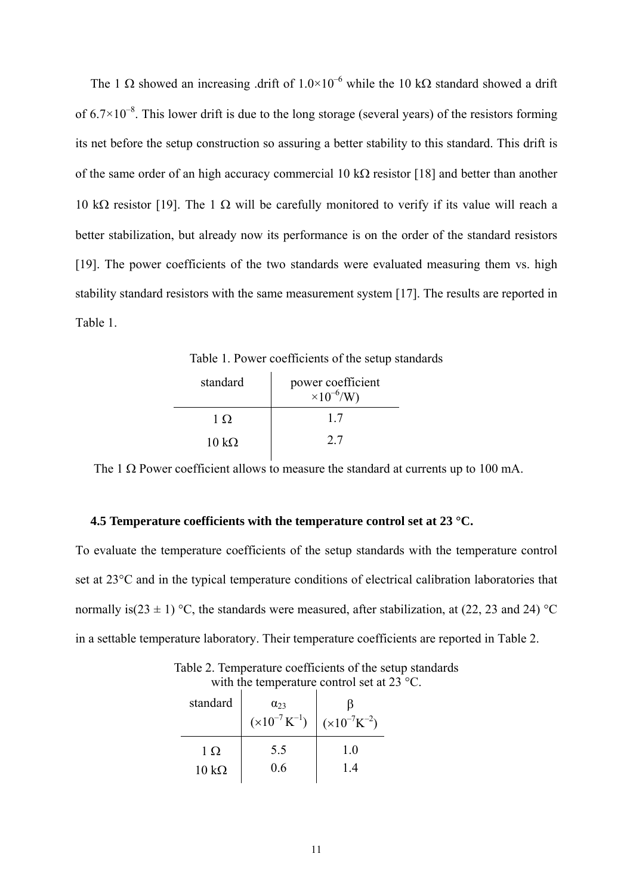The 1  $\Omega$  showed an increasing .drift of  $1.0 \times 10^{-6}$  while the 10 k $\Omega$  standard showed a drift of  $6.7\times10^{-8}$ . This lower drift is due to the long storage (several years) of the resistors forming its net before the setup construction so assuring a better stability to this standard. This drift is of the same order of an high accuracy commercial 10 k $\Omega$  resistor [18] and better than another 10 k $\Omega$  resistor [19]. The 1  $\Omega$  will be carefully monitored to verify if its value will reach a better stabilization, but already now its performance is on the order of the standard resistors [19]. The power coefficients of the two standards were evaluated measuring them vs. high stability standard resistors with the same measurement system [17]. The results are reported in Table 1.

Table 1. Power coefficients of the setup standards

| standard             | power coefficient<br>$^{1}$ ×10 <sup>-6</sup> /W) |
|----------------------|---------------------------------------------------|
| 1 Q                  | 17                                                |
| $10 \text{ k}\Omega$ | 2.7                                               |

The 1  $\Omega$  Power coefficient allows to measure the standard at currents up to 100 mA.

## **4.5 Temperature coefficients with the temperature control set at 23 °C.**

To evaluate the temperature coefficients of the setup standards with the temperature control set at 23°C and in the typical temperature conditions of electrical calibration laboratories that normally is(23  $\pm$  1) °C, the standards were measured, after stabilization, at (22, 23 and 24) °C in a settable temperature laboratory. Their temperature coefficients are reported in Table 2.

standard  $\alpha_{23}$  $(x10^{-7} K^{-1})$ ß  $(x10^{-7}K^{-2})$  $1\Omega$ 5.5 1.0

0.6

 $10 \text{ k}\Omega$ 

Table 2. Temperature coefficients of the setup standards with the temperature control set at 23 °C.

1.4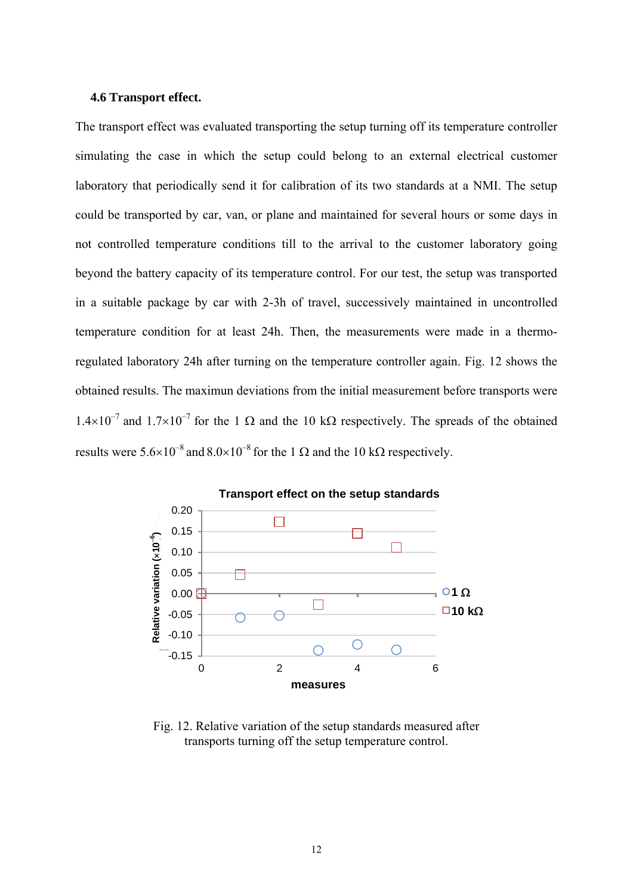## **4.6 Transport effect.**

The transport effect was evaluated transporting the setup turning off its temperature controller simulating the case in which the setup could belong to an external electrical customer laboratory that periodically send it for calibration of its two standards at a NMI. The setup could be transported by car, van, or plane and maintained for several hours or some days in not controlled temperature conditions till to the arrival to the customer laboratory going beyond the battery capacity of its temperature control. For our test, the setup was transported in a suitable package by car with 2-3h of travel, successively maintained in uncontrolled temperature condition for at least 24h. Then, the measurements were made in a thermoregulated laboratory 24h after turning on the temperature controller again. Fig. 12 shows the obtained results. The maximun deviations from the initial measurement before transports were  $1.4\times10^{-7}$  and  $1.7\times10^{-7}$  for the 1  $\Omega$  and the 10 k $\Omega$  respectively. The spreads of the obtained results were  $5.6\times10^{-8}$  and  $8.0\times10^{-8}$  for the 1  $\Omega$  and the 10 k $\Omega$  respectively.



Fig. 12. Relative variation of the setup standards measured after transports turning off the setup temperature control.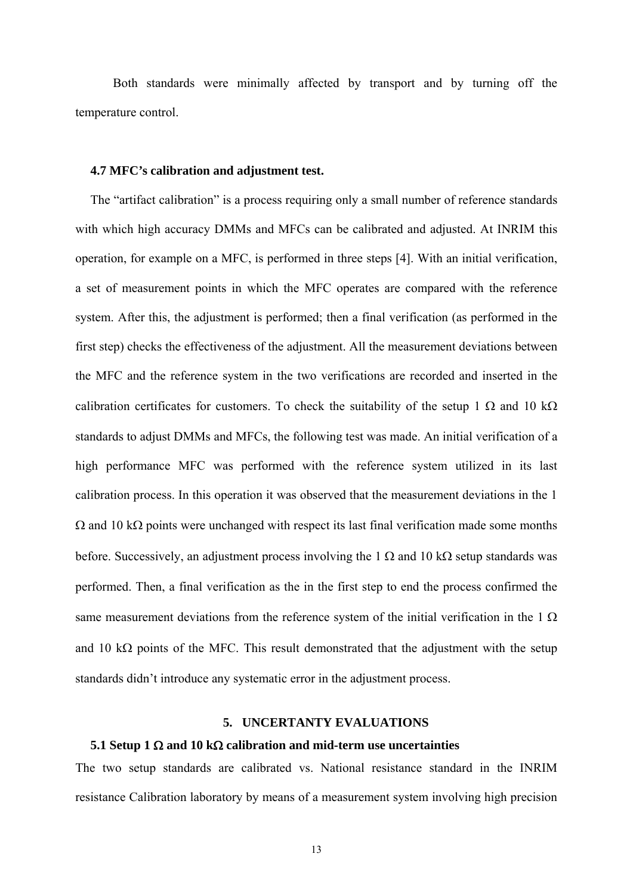Both standards were minimally affected by transport and by turning off the temperature control.

## **4.7 MFC's calibration and adjustment test.**

 The "artifact calibration" is a process requiring only a small number of reference standards with which high accuracy DMMs and MFCs can be calibrated and adjusted. At INRIM this operation, for example on a MFC, is performed in three steps [4]. With an initial verification, a set of measurement points in which the MFC operates are compared with the reference system. After this, the adjustment is performed; then a final verification (as performed in the first step) checks the effectiveness of the adjustment. All the measurement deviations between the MFC and the reference system in the two verifications are recorded and inserted in the calibration certificates for customers. To check the suitability of the setup 1  $\Omega$  and 10 k $\Omega$ standards to adjust DMMs and MFCs, the following test was made. An initial verification of a high performance MFC was performed with the reference system utilized in its last calibration process. In this operation it was observed that the measurement deviations in the 1  $\Omega$  and 10 k $\Omega$  points were unchanged with respect its last final verification made some months before. Successively, an adjustment process involving the 1  $\Omega$  and 10 k $\Omega$  setup standards was performed. Then, a final verification as the in the first step to end the process confirmed the same measurement deviations from the reference system of the initial verification in the  $1 \Omega$ and 10 k $\Omega$  points of the MFC. This result demonstrated that the adjustment with the setup standards didn't introduce any systematic error in the adjustment process.

## **5. UNCERTANTY EVALUATIONS**

#### **5.1 Setup 1**  $\Omega$  **and 10 k** $\Omega$  **calibration and mid-term use uncertainties**

The two setup standards are calibrated vs. National resistance standard in the INRIM resistance Calibration laboratory by means of a measurement system involving high precision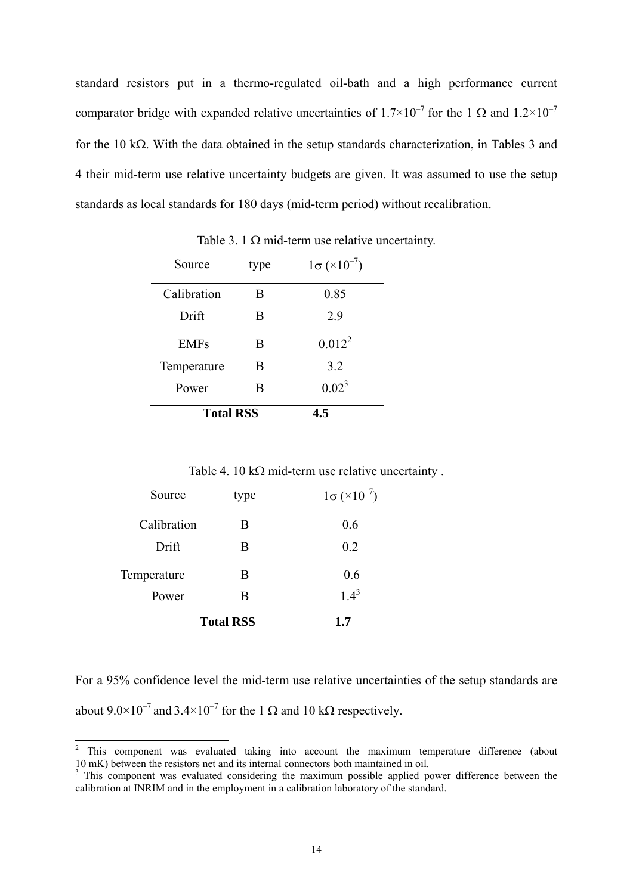standard resistors put in a thermo-regulated oil-bath and a high performance current comparator bridge with expanded relative uncertainties of  $1.7\times10^{-7}$  for the 1  $\Omega$  and  $1.2\times10^{-7}$ for the 10 k $\Omega$ . With the data obtained in the setup standards characterization, in Tables 3 and 4 their mid-term use relative uncertainty budgets are given. It was assumed to use the setup standards as local standards for 180 days (mid-term period) without recalibration.

| Source           | type | $1\sigma (\times 10^{-7})$ |
|------------------|------|----------------------------|
| Calibration      | Β    | 0.85                       |
| Drift            | B    | 2.9                        |
| <b>EMFs</b>      | B    | $0.012^2$                  |
| Temperature      | B    | 3.2                        |
| Power            | В    | $0.02^3$                   |
| <b>Total RSS</b> |      | 4.5                        |

Table 3. 1  $\Omega$  mid-term use relative uncertainty.

Table 4. 10 k $\Omega$  mid-term use relative uncertainty.

| Source      | type             | $1\sigma (\times 10^{-7})$ |
|-------------|------------------|----------------------------|
| Calibration | В                | 0.6                        |
| Drift       | B                | 0.2                        |
| Temperature | B                | 0.6                        |
| Power       | B                | $1.4^{3}$                  |
|             | <b>Total RSS</b> | 1.7                        |

For a 95% confidence level the mid-term use relative uncertainties of the setup standards are about  $9.0 \times 10^{-7}$  and  $3.4 \times 10^{-7}$  for the 1  $\Omega$  and 10 k $\Omega$  respectively.

 $\frac{1}{2}$  This component was evaluated taking into account the maximum temperature difference (about 10 mK) between the resistors net and its internal connectors both maintained in oil.

<sup>&</sup>lt;sup>3</sup> This component was evaluated considering the maximum possible applied power difference between the calibration at INRIM and in the employment in a calibration laboratory of the standard.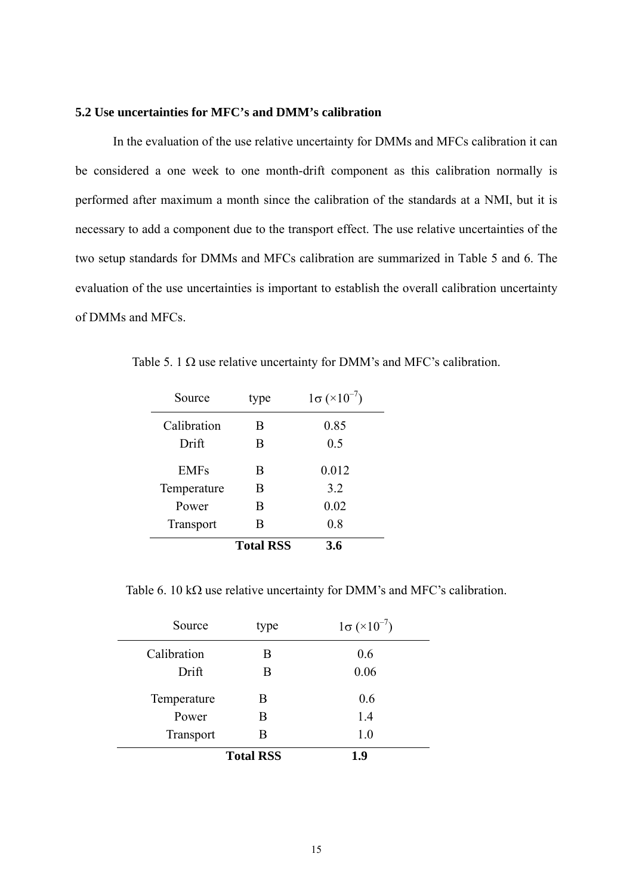## **5.2 Use uncertainties for MFC's and DMM's calibration**

In the evaluation of the use relative uncertainty for DMMs and MFCs calibration it can be considered a one week to one month-drift component as this calibration normally is performed after maximum a month since the calibration of the standards at a NMI, but it is necessary to add a component due to the transport effect. The use relative uncertainties of the two setup standards for DMMs and MFCs calibration are summarized in Table 5 and 6. The evaluation of the use uncertainties is important to establish the overall calibration uncertainty of DMMs and MFCs.

|                  | <b>Total RSS</b> | 3.6                        |
|------------------|------------------|----------------------------|
| <b>Transport</b> | В                | 0.8                        |
| Power            | B                | 0.02                       |
| Temperature      | Β                | 3.2                        |
| <b>EMFs</b>      | B                | 0.012                      |
| Drift            | Β                | 0.5                        |
| Calibration      | B                | 0.85                       |
| Source           | type             | $1\sigma (\times 10^{-7})$ |

Table 5. 1  $\Omega$  use relative uncertainty for DMM's and MFC's calibration.

Table 6. 10 k $\Omega$  use relative uncertainty for DMM's and MFC's calibration.

| Source      | type             | $1\sigma (\times 10^{-7})$ |
|-------------|------------------|----------------------------|
| Calibration | B                | 0.6                        |
| Drift       | Β                | 0.06                       |
| Temperature | B                | 0.6                        |
| Power       | B                | 1.4                        |
| Transport   | B                | 1.0                        |
|             | <b>Total RSS</b> | 1.9                        |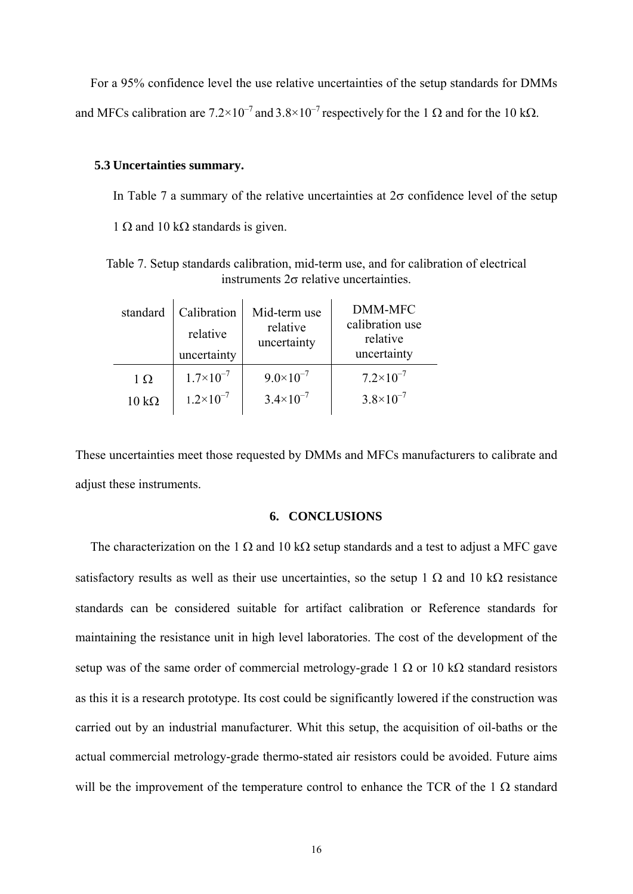For a 95% confidence level the use relative uncertainties of the setup standards for DMMs and MFCs calibration are  $7.2 \times 10^{-7}$  and  $3.8 \times 10^{-7}$  respectively for the 1  $\Omega$  and for the 10 k $\Omega$ .

### **5.3 Uncertainties summary.**

In Table 7 a summary of the relative uncertainties at  $2\sigma$  confidence level of the setup

 $1 \Omega$  and  $10 \text{ k}\Omega$  standards is given.

Table 7. Setup standards calibration, mid-term use, and for calibration of electrical instruments  $2\sigma$  relative uncertainties.

| standard             | Calibration<br>relative<br>uncertainty | Mid-term use<br>relative<br>uncertainty | <b>DMM-MFC</b><br>calibration use<br>relative<br>uncertainty |
|----------------------|----------------------------------------|-----------------------------------------|--------------------------------------------------------------|
| 1 $\Omega$           | $1.7\times10^{-7}$                     | $9.0\times10^{-7}$                      | $7.2\times10^{-7}$                                           |
| $10 \text{ k}\Omega$ | $1.2 \times 10^{-7}$                   | $3.4 \times 10^{-7}$                    | $3.8 \times 10^{-7}$                                         |

These uncertainties meet those requested by DMMs and MFCs manufacturers to calibrate and adjust these instruments.

## **6. CONCLUSIONS**

The characterization on the 1  $\Omega$  and 10 k $\Omega$  setup standards and a test to adjust a MFC gave satisfactory results as well as their use uncertainties, so the setup 1  $\Omega$  and 10 k $\Omega$  resistance standards can be considered suitable for artifact calibration or Reference standards for maintaining the resistance unit in high level laboratories. The cost of the development of the setup was of the same order of commercial metrology-grade 1  $\Omega$  or 10 k $\Omega$  standard resistors as this it is a research prototype. Its cost could be significantly lowered if the construction was carried out by an industrial manufacturer. Whit this setup, the acquisition of oil-baths or the actual commercial metrology-grade thermo-stated air resistors could be avoided. Future aims will be the improvement of the temperature control to enhance the TCR of the 1  $\Omega$  standard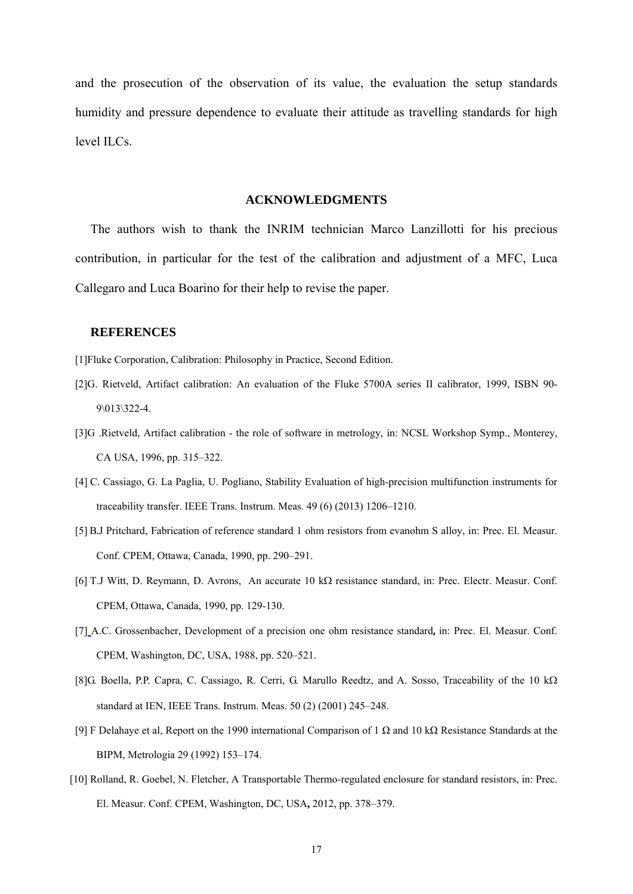and the prosecution of the observation of its value, the evaluation the setup standards humidity and pressure dependence to evaluate their attitude as travelling standards for high level ILCs.

#### **ACKNOWLEDGMENTS**

The authors wish to thank the INRIM technician Marco Lanzillotti for his precious contribution, in particular for the test of the calibration and adjustment of a MFC, Luca Callegaro and Luca Boarino for their help to revise the paper.

#### **REFERENCES**

[1]Fluke Corporation, Calibration: Philosophy in Practice, Second Edition.

- [2]G. Rietveld, Artifact calibration: An evaluation of the Fluke 5700A series II calibrator, 1999, ISBN 90- 9\013\322-4.
- [3]G .Rietveld, Artifact calibration the role of software in metrology, in: NCSL Workshop Symp., Monterey, CA USA, 1996, pp. 315–322.
- [4] C. Cassiago, G. La Paglia, U. Pogliano, Stability Evaluation of high-precision multifunction instruments for traceability transfer. IEEE Trans. Instrum. Meas. 49 (6) (2013) 1206–1210.
- [5] B.J Pritchard, Fabrication of reference standard 1 ohm resistors from evanohm S alloy, in: Prec. El. Measur. Conf. CPEM, Ottawa, Canada, 1990, pp. 290–291.
- [6] T.J Witt, D. Reymann, D. Avrons, An accurate 10  $k\Omega$  resistance standard, in: Prec. Electr. Measur. Conf. CPEM, Ottawa, Canada, 1990, pp. 129-130.
- [7] A.C. Grossenbacher, Development of a precision one ohm resistance standard**,** in: Prec. El. Measur. Conf. CPEM, Washington, DC, USA, 1988, pp. 520–521.
- [8]G. Boella, P.P. Capra, C. Cassiago, R. Cerri, G. Marullo Reedtz, and A. Sosso, Traceability of the 10 k $\Omega$ standard at IEN, IEEE Trans. Instrum. Meas. 50 (2) (2001) 245–248.
- [9] F Delahaye et al, Report on the 1990 international Comparison of 1  $\Omega$  and 10 k $\Omega$  Resistance Standards at the BIPM, Metrologia 29 (1992) 153–174.
- [10] Rolland, R. Goebel, N. Fletcher, A Transportable Thermo-regulated enclosure for standard resistors, in: Prec. El. Measur. Conf. CPEM, Washington, DC, USA**,** 2012, pp. 378–379.